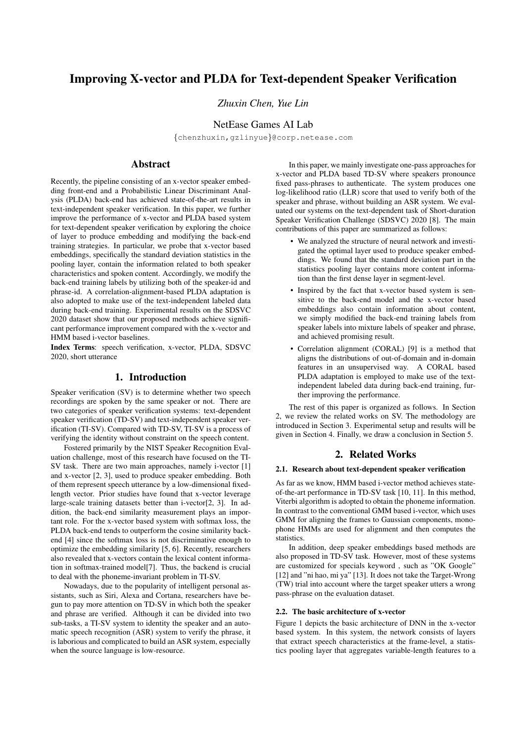# Improving X-vector and PLDA for Text-dependent Speaker Verification

*Zhuxin Chen, Yue Lin*

## NetEase Games AI Lab

{chenzhuxin,gzlinyue}@corp.netease.com

## Abstract

Recently, the pipeline consisting of an x-vector speaker embedding front-end and a Probabilistic Linear Discriminant Analysis (PLDA) back-end has achieved state-of-the-art results in text-independent speaker verification. In this paper, we further improve the performance of x-vector and PLDA based system for text-dependent speaker verification by exploring the choice of layer to produce embedding and modifying the back-end training strategies. In particular, we probe that x-vector based embeddings, specifically the standard deviation statistics in the pooling layer, contain the information related to both speaker characteristics and spoken content. Accordingly, we modify the back-end training labels by utilizing both of the speaker-id and phrase-id. A correlation-alignment-based PLDA adaptation is also adopted to make use of the text-independent labeled data during back-end training. Experimental results on the SDSVC 2020 dataset show that our proposed methods achieve significant performance improvement compared with the x-vector and HMM based i-vector baselines.

Index Terms: speech verification, x-vector, PLDA, SDSVC 2020, short utterance

## 1. Introduction

Speaker verification (SV) is to determine whether two speech recordings are spoken by the same speaker or not. There are two categories of speaker verification systems: text-dependent speaker verification (TD-SV) and text-independent speaker verification (TI-SV). Compared with TD-SV, TI-SV is a process of verifying the identity without constraint on the speech content.

Fostered primarily by the NIST Speaker Recognition Evaluation challenge, most of this research have focused on the TI-SV task. There are two main approaches, namely i-vector [1] and x-vector [2, 3], used to produce speaker embedding. Both of them represent speech utterance by a low-dimensional fixedlength vector. Prior studies have found that x-vector leverage large-scale training datasets better than i-vector[2, 3]. In addition, the back-end similarity measurement plays an important role. For the x-vector based system with softmax loss, the PLDA back-end tends to outperform the cosine similarity backend [4] since the softmax loss is not discriminative enough to optimize the embedding similarity [5, 6]. Recently, researchers also revealed that x-vectors contain the lexical content information in softmax-trained model[7]. Thus, the backend is crucial to deal with the phoneme-invariant problem in TI-SV.

Nowadays, due to the popularity of intelligent personal assistants, such as Siri, Alexa and Cortana, researchers have begun to pay more attention on TD-SV in which both the speaker and phrase are verified. Although it can be divided into two sub-tasks, a TI-SV system to identity the speaker and an automatic speech recognition (ASR) system to verify the phrase, it is laborious and complicated to build an ASR system, especially when the source language is low-resource.

In this paper, we mainly investigate one-pass approaches for x-vector and PLDA based TD-SV where speakers pronounce fixed pass-phrases to authenticate. The system produces one log-likelihood ratio (LLR) score that used to verify both of the speaker and phrase, without building an ASR system. We evaluated our systems on the text-dependent task of Short-duration Speaker Verification Challenge (SDSVC) 2020 [8]. The main contributions of this paper are summarized as follows:

- We analyzed the structure of neural network and investigated the optimal layer used to produce speaker embeddings. We found that the standard deviation part in the statistics pooling layer contains more content information than the first dense layer in segment-level.
- Inspired by the fact that x-vector based system is sensitive to the back-end model and the x-vector based embeddings also contain information about content, we simply modified the back-end training labels from speaker labels into mixture labels of speaker and phrase, and achieved promising result.
- Correlation alignment (CORAL) [9] is a method that aligns the distributions of out-of-domain and in-domain features in an unsupervised way. A CORAL based PLDA adaptation is employed to make use of the textindependent labeled data during back-end training, further improving the performance.

The rest of this paper is organized as follows. In Section 2, we review the related works on SV. The methodology are introduced in Section 3. Experimental setup and results will be given in Section 4. Finally, we draw a conclusion in Section 5.

## 2. Related Works

#### 2.1. Research about text-dependent speaker verification

As far as we know, HMM based i-vector method achieves stateof-the-art performance in TD-SV task [10, 11]. In this method, Viterbi algorithm is adopted to obtain the phoneme information. In contrast to the conventional GMM based i-vector, which uses GMM for aligning the frames to Gaussian components, monophone HMMs are used for alignment and then computes the statistics.

In addition, deep speaker embeddings based methods are also proposed in TD-SV task. However, most of these systems are customized for specials keyword , such as "OK Google" [12] and "ni hao, mi ya" [13]. It does not take the Target-Wrong (TW) trial into account where the target speaker utters a wrong pass-phrase on the evaluation dataset.

### 2.2. The basic architecture of x-vector

Figure 1 depicts the basic architecture of DNN in the x-vector based system. In this system, the network consists of layers that extract speech characteristics at the frame-level, a statistics pooling layer that aggregates variable-length features to a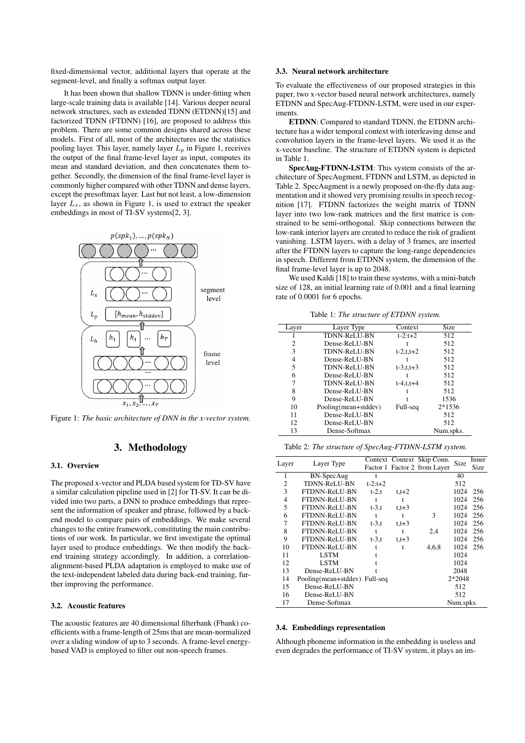fixed-dimensional vector, additional layers that operate at the segment-level, and finally a softmax output layer.

It has been shown that shallow TDNN is under-fitting when large-scale training data is available [14]. Various deeper neural network structures, such as extended TDNN (ETDNN)[15] and factorized TDNN (FTDNN) [16], are proposed to address this problem. There are some common designs shared across these models. First of all, most of the architectures use the statistics pooling layer. This layer, namely layer  $L_p$  in Figure 1, receives the output of the final frame-level layer as input, computes its mean and standard deviation, and then concatenates them together. Secondly, the dimension of the final frame-level layer is commonly higher compared with other TDNN and dense layers, except the presoftmax layer. Last but not least, a low-dimension layer  $L_x$ , as shown in Figure 1, is used to extract the speaker embeddings in most of TI-SV systems[2, 3].



Figure 1: *The basic architecture of DNN in the x-vector system.*

## 3. Methodology

#### 3.1. Overview

The proposed x-vector and PLDA based system for TD-SV have a similar calculation pipeline used in [2] for TI-SV. It can be divided into two parts, a DNN to produce embeddings that represent the information of speaker and phrase, followed by a backend model to compare pairs of embeddings. We make several changes to the entire framework, constituting the main contributions of our work. In particular, we first investigate the optimal layer used to produce embeddings. We then modify the backend training strategy accordingly. In addition, a correlationalignment-based PLDA adaptation is employed to make use of the text-independent labeled data during back-end training, further improving the performance.

#### 3.2. Acoustic features

The acoustic features are 40 dimensional filterbank (Fbank) coefficients with a frame-length of 25ms that are mean-normalized over a sliding window of up to 3 seconds. A frame-level energybased VAD is employed to filter out non-speech frames.

### 3.3. Neural network architecture

To evaluate the effectiveness of our proposed strategies in this paper, two x-vector based neural network architectures, namely ETDNN and SpecAug-FTDNN-LSTM, were used in our experiments.

ETDNN: Compared to standard TDNN, the ETDNN architecture has a wider temporal context with interleaving dense and convolution layers in the frame-level layers. We used it as the x-vector baseline. The structure of ETDNN system is depicted in Table 1.

SpecAug-FTDNN-LSTM: This system consists of the architecture of SpecAugment, FTDNN and LSTM, as depicted in Table 2. SpecAugment is a newly proposed on-the-fly data augmentation and it showed very promising results in speech recognition [17]. FTDNN factorizes the weight matrix of TDNN layer into two low-rank matrices and the first matrice is constrained to be semi-orthogonal. Skip connections between the low-rank interior layers are created to reduce the risk of gradient vanishing. LSTM layers, with a delay of 3 frames, are inserted after the FTDNN layers to capture the long-range dependencies in speech. Different from ETDNN system, the dimension of the final frame-level layer is up to 2048.

We used Kaldi [18] to train these systems, with a mini-batch size of 128, an initial learning rate of 0.001 and a final learning rate of 0.0001 for 6 epochs.

Table 1: *The structure of ETDNN system.*

| Layer | Layer Type           | Context           | <b>Size</b> |
|-------|----------------------|-------------------|-------------|
|       | <b>TDNN-ReLU-BN</b>  | $t - 2.1 + 2$     | 512         |
| 2     | Dense-ReLU-BN        |                   | 512         |
| 3     | <b>TDNN-ReLU-BN</b>  | $t - 2, t, t + 2$ | 512         |
| 4     | Dense-ReLU-BN        |                   | 512         |
| 5     | <b>TDNN-ReLU-BN</b>  | $t - 3, t, t + 3$ | 512         |
| 6     | Dense-ReLU-BN        |                   | 512         |
|       | TDNN-ReLU-BN         | $t-4.t. t+4$      | 512         |
| 8     | Dense-ReLU-BN        |                   | 512         |
| 9     | Dense-ReLU-BN        |                   | 1536        |
| 10    | Pooling(mean+stddev) | Full-seq          | 2*1536      |
| 11    | Dense-ReLU-BN        |                   | 512         |
| 12    | Dense-ReLU-BN        |                   | 512         |
| 13    | Dense-Softmax        |                   | Num.spks.   |

Table 2: *The structure of SpecAug-FTDNN-LSTM system.*

| Layer |                               |                |              | Context Context Skip Conn.   | Size      | Inner |
|-------|-------------------------------|----------------|--------------|------------------------------|-----------|-------|
|       | Layer Type                    |                |              | Factor 1 Factor 2 from Layer |           | Size  |
|       | BN-SpecAug                    |                |              |                              | 40        |       |
| 2     | <b>TDNN-ReLU-BN</b>           | $t - 2: t + 2$ |              |                              | 512       |       |
| 3     | FTDNN-ReLU-BN                 | $t-2,t$        | $t,t+2$      |                              | 1024      | 256   |
| 4     | FTDNN-ReLU-BN                 |                |              |                              | 1024      | 256   |
| 5     | FTDNN-ReLU-BN                 | $t-3,t$        | $t_{1}t + 3$ |                              | 1024      | 256   |
| 6     | FTDNN-ReLU-BN                 |                |              | 3                            | 1024      | 256   |
| 7     | FTDNN-ReLU-BN                 | $t-3,t$        | $t_{1}t + 3$ |                              | 1024      | 256   |
| 8     | FTDNN-ReLU-BN                 | t              |              | 2,4                          | 1024      | 256   |
| 9     | FTDNN-ReLU-BN                 | $t-3,t$        | $t.t + 3$    |                              | 1024      | 256   |
| 10    | FTDNN-ReLU-BN                 |                |              | 4,6,8                        | 1024      | 256   |
| 11    | <b>LSTM</b>                   |                |              |                              | 1024      |       |
| 12    | <b>LSTM</b>                   |                |              |                              | 1024      |       |
| 13    | Dense-ReLU-BN                 |                |              |                              | 2048      |       |
| 14    | Pooling(mean+stddev) Full-seq |                |              |                              | 2*2048    |       |
| 15    | Dense-ReLU-BN                 |                |              |                              | 512       |       |
| 16    | Dense-ReLU-BN                 |                |              |                              | 512       |       |
| 17    | Dense-Softmax                 |                |              |                              | Num.spks. |       |

#### 3.4. Embeddings representation

Although phoneme information in the embedding is useless and even degrades the performance of TI-SV system, it plays an im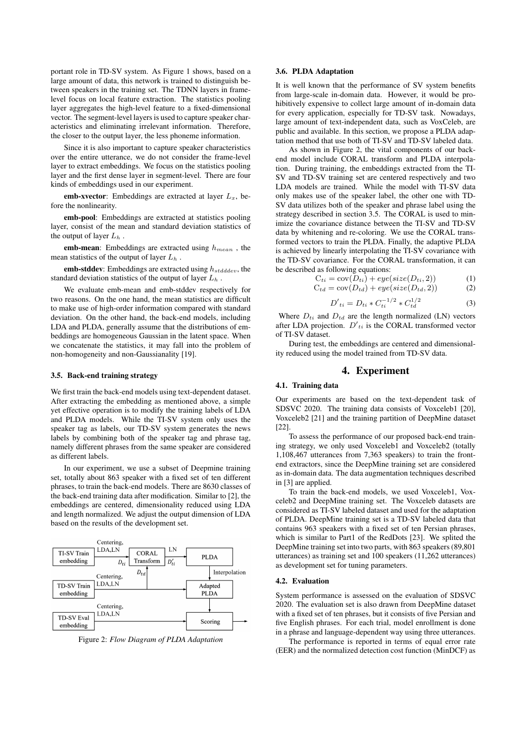portant role in TD-SV system. As Figure 1 shows, based on a large amount of data, this network is trained to distinguish between speakers in the training set. The TDNN layers in framelevel focus on local feature extraction. The statistics pooling layer aggregates the high-level feature to a fixed-dimensional vector. The segment-level layers is used to capture speaker characteristics and eliminating irrelevant information. Therefore, the closer to the output layer, the less phoneme information.

Since it is also important to capture speaker characteristics over the entire utterance, we do not consider the frame-level layer to extract embeddings. We focus on the statistics pooling layer and the first dense layer in segment-level. There are four kinds of embeddings used in our experiment.

emb-xvector: Embeddings are extracted at layer  $L_x$ , before the nonlinearity.

emb-pool: Embeddings are extracted at statistics pooling layer, consist of the mean and standard deviation statistics of the output of layer  $L_h$ .

emb-mean: Embeddings are extracted using  $h_{mean}$ , the mean statistics of the output of layer  $L_h$ .

**emb-stddev**: Embeddings are extracted using  $h_{stddev}$ , the standard deviation statistics of the output of layer  $L<sub>h</sub>$ .

We evaluate emb-mean and emb-stddev respectively for two reasons. On the one hand, the mean statistics are difficult to make use of high-order information compared with standard deviation. On the other hand, the back-end models, including LDA and PLDA, generally assume that the distributions of embeddings are homogeneous Gaussian in the latent space. When we concatenate the statistics, it may fall into the problem of non-homogeneity and non-Gaussianality [19].

#### 3.5. Back-end training strategy

We first train the back-end models using text-dependent dataset. After extracting the embedding as mentioned above, a simple yet effective operation is to modify the training labels of LDA and PLDA models. While the TI-SV system only uses the speaker tag as labels, our TD-SV system generates the news labels by combining both of the speaker tag and phrase tag, namely different phrases from the same speaker are considered as different labels.

In our experiment, we use a subset of Deepmine training set, totally about 863 speaker with a fixed set of ten different phrases, to train the back-end models. There are 8630 classes of the back-end training data after modification. Similar to [2], the embeddings are centered, dimensionality reduced using LDA and length normalized. We adjust the output dimension of LDA based on the results of the development set.



Figure 2: *Flow Diagram of PLDA Adaptation*

### 3.6. PLDA Adaptation

It is well known that the performance of SV system benefits from large-scale in-domain data. However, it would be prohibitively expensive to collect large amount of in-domain data for every application, especially for TD-SV task. Nowadays, large amount of text-independent data, such as VoxCeleb, are public and available. In this section, we propose a PLDA adaptation method that use both of TI-SV and TD-SV labeled data.

As shown in Figure 2, the vital components of our backend model include CORAL transform and PLDA interpolation. During training, the embeddings extracted from the TI-SV and TD-SV training set are centered respectively and two LDA models are trained. While the model with TI-SV data only makes use of the speaker label, the other one with TD-SV data utilizes both of the speaker and phrase label using the strategy described in section 3.5. The CORAL is used to minimize the covariance distance between the TI-SV and TD-SV data by whitening and re-coloring. We use the CORAL transformed vectors to train the PLDA. Finally, the adaptive PLDA is achieved by linearly interpolating the TI-SV covariance with the TD-SV covariance. For the CORAL transformation, it can be described as following equations:

$$
C_{ti} = \text{cov}(D_{ti}) + eye(size(D_{ti}, 2))
$$
  
\n
$$
C_{t4} = \text{cov}(D_{t4}) + eue(size(D_{t4}, 2))
$$
\n(2)

$$
u_{td} = \text{cov}(D_{td}) + \text{eye}(size(D_{td}, 2)) \tag{2}
$$

$$
D'_{ti} = D_{ti} * C_{ti}^{-1/2} * C_{td}^{1/2}
$$
 (3)

Where  $D_{ti}$  and  $D_{td}$  are the length normalized (LN) vectors after LDA projection.  $D'_{ti}$  is the CORAL transformed vector of TI-SV dataset.

During test, the embeddings are centered and dimensionality reduced using the model trained from TD-SV data.

### 4. Experiment

#### 4.1. Training data

Our experiments are based on the text-dependent task of SDSVC 2020. The training data consists of Voxceleb1 [20], Voxceleb2 [21] and the training partition of DeepMine dataset [22].

To assess the performance of our proposed back-end training strategy, we only used Voxceleb1 and Voxceleb2 (totally 1,108,467 utterances from 7,363 speakers) to train the frontend extractors, since the DeepMine training set are considered as in-domain data. The data augmentation techniques described in [3] are applied.

To train the back-end models, we used Voxceleb1, Voxceleb2 and DeepMine training set. The Voxceleb datasets are considered as TI-SV labeled dataset and used for the adaptation of PLDA. DeepMine training set is a TD-SV labeled data that contains 963 speakers with a fixed set of ten Persian phrases, which is similar to Part1 of the RedDots [23]. We splited the DeepMine training set into two parts, with 863 speakers (89,801 utterances) as training set and 100 speakers (11,262 utterances) as development set for tuning parameters.

#### 4.2. Evaluation

System performance is assessed on the evaluation of SDSVC 2020. The evaluation set is also drawn from DeepMine dataset with a fixed set of ten phrases, but it consists of five Persian and five English phrases. For each trial, model enrollment is done in a phrase and language-dependent way using three utterances.

The performance is reported in terms of equal error rate (EER) and the normalized detection cost function (MinDCF) as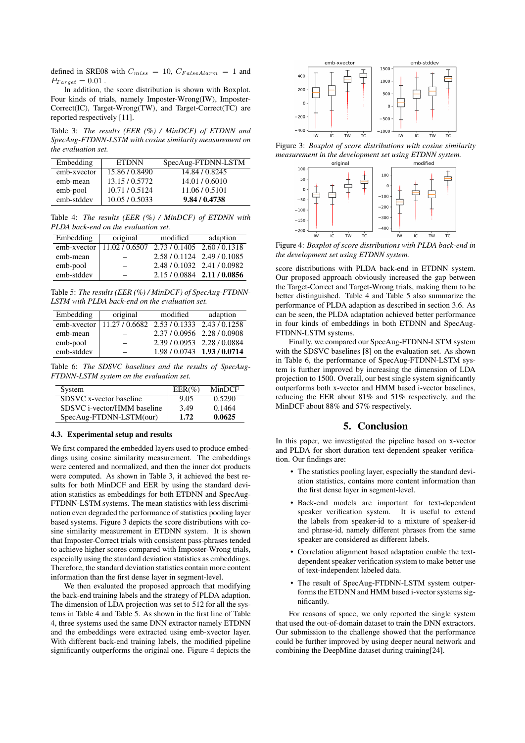defined in SRE08 with  $C_{miss} = 10$ ,  $C_{False}$  Alarm = 1 and  $P_{Target} = 0.01$ .

In addition, the score distribution is shown with Boxplot. Four kinds of trials, namely Imposter-Wrong(IW), Imposter-Correct(IC), Target-Wrong(TW), and Target-Correct(TC) are reported respectively [11].

Table 3: *The results (EER (%) / MinDCF) of ETDNN and SpecAug-FTDNN-LSTM with cosine similarity measurement on the evaluation set.*

| Embedding   | <b>ETDNN</b>   | SpecAug-FTDNN-LSTM |
|-------------|----------------|--------------------|
| emb-xvector | 15.86 / 0.8490 | 14.84 / 0.8245     |
| emb-mean    | 13.15 / 0.5772 | 14.01 / 0.6010     |
| emb-pool    | 10.71/0.5124   | 11.06/0.5101       |
| emb-stddev  | 10.05 / 0.5033 | 9.84 / 0.4738      |

Table 4: *The results (EER (%) / MinDCF) of ETDNN with PLDA back-end on the evaluation set.*

| Embedding   | original     | modified                    | adaption                    |  |
|-------------|--------------|-----------------------------|-----------------------------|--|
| emb-xvector | 11.02/0.6507 | 2.73 / 0.1405 2.60 / 0.1318 |                             |  |
| emb-mean    |              |                             | 2.58/0.1124 2.49/0.1085     |  |
| emb-pool    | $\equiv$     |                             | 2.48 / 0.1032 2.41 / 0.0982 |  |
| emb-stddev  |              |                             | 2.15/0.0884 2.11/0.0856     |  |

Table 5: *The results (EER (%) / MinDCF) of SpecAug-FTDNN-LSTM with PLDA back-end on the evaluation set.*

| Embedding   | original                                   | modified | adaption                    |
|-------------|--------------------------------------------|----------|-----------------------------|
| emb-xvector | 11.27 / 0.6682 2.53 / 0.1333 2.43 / 0.1258 |          |                             |
| emb-mean    | $\overline{\phantom{0}}$                   |          | 2.37/0.0956 2.28/0.0908     |
| emb-pool    |                                            |          | 2.39 / 0.0953 2.28 / 0.0884 |
| emb-stddev  | $\equiv$                                   |          | 1.98 / 0.0743 1.93 / 0.0714 |

Table 6: *The SDSVC baselines and the results of SpecAug-FTDNN-LSTM system on the evaluation set.*

| System                      | $EER(\%)$ | MinDCF |
|-----------------------------|-----------|--------|
| SDSVC x-vector baseline     | 9.05      | 0.5290 |
| SDSVC i-vector/HMM baseline | 3.49      | 0.1464 |
| SpecAug-FTDNN-LSTM(our)     | 1.72      | 0.0625 |

#### 4.3. Experimental setup and results

We first compared the embedded layers used to produce embeddings using cosine similarity measurement. The embeddings were centered and normalized, and then the inner dot products were computed. As shown in Table 3, it achieved the best results for both MinDCF and EER by using the standard deviation statistics as embeddings for both ETDNN and SpecAug-FTDNN-LSTM systems. The mean statistics with less discrimination even degraded the performance of statistics pooling layer based systems. Figure 3 depicts the score distributions with cosine similarity measurement in ETDNN system. It is shown that Imposter-Correct trials with consistent pass-phrases tended to achieve higher scores compared with Imposter-Wrong trials, especially using the standard deviation statistics as embeddings. Therefore, the standard deviation statistics contain more content information than the first dense layer in segment-level.

We then evaluated the proposed approach that modifying the back-end training labels and the strategy of PLDA adaption. The dimension of LDA projection was set to 512 for all the systems in Table 4 and Table 5. As shown in the first line of Table 4, three systems used the same DNN extractor namely ETDNN and the embeddings were extracted using emb-xvector layer. With different back-end training labels, the modified pipeline significantly outperforms the original one. Figure 4 depicts the



Figure 3: *Boxplot of score distributions with cosine similarity measurement in the development set using ETDNN system.*



Figure 4: *Boxplot of score distributions with PLDA back-end in the development set using ETDNN system.*

score distributions with PLDA back-end in ETDNN system. Our proposed approach obviously increased the gap between the Target-Correct and Target-Wrong trials, making them to be better distinguished. Table 4 and Table 5 also summarize the performance of PLDA adaption as described in section 3.6. As can be seen, the PLDA adaptation achieved better performance in four kinds of embeddings in both ETDNN and SpecAug-FTDNN-LSTM systems.

Finally, we compared our SpecAug-FTDNN-LSTM system with the SDSVC baselines [8] on the evaluation set. As shown in Table 6, the performance of SpecAug-FTDNN-LSTM system is further improved by increasing the dimension of LDA projection to 1500. Overall, our best single system significantly outperforms both x-vector and HMM based i-vector baselines, reducing the EER about 81% and 51% respectively, and the MinDCF about 88% and 57% respectively.

## 5. Conclusion

In this paper, we investigated the pipeline based on x-vector and PLDA for short-duration text-dependent speaker verification. Our findings are:

- The statistics pooling layer, especially the standard deviation statistics, contains more content information than the first dense layer in segment-level.
- Back-end models are important for text-dependent speaker verification system. It is useful to extend the labels from speaker-id to a mixture of speaker-id and phrase-id, namely different phrases from the same speaker are considered as different labels.
- Correlation alignment based adaptation enable the textdependent speaker verification system to make better use of text-independent labeled data.
- The result of SpecAug-FTDNN-LSTM system outperforms the ETDNN and HMM based i-vector systems significantly.

For reasons of space, we only reported the single system that used the out-of-domain dataset to train the DNN extractors. Our submission to the challenge showed that the performance could be further improved by using deeper neural network and combining the DeepMine dataset during training[24].